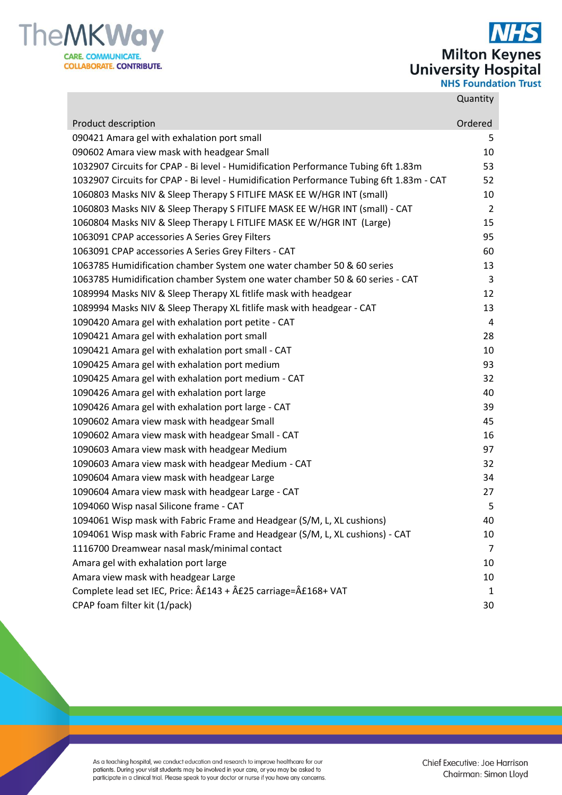

**Milton Keynes<br>University Hospital<br>NHS Foundation Trust** 

## **Quantity**

| Product description                                                                           | Ordered        |
|-----------------------------------------------------------------------------------------------|----------------|
| 090421 Amara gel with exhalation port small                                                   | 5              |
| 090602 Amara view mask with headgear Small                                                    | 10             |
| 1032907 Circuits for CPAP - Bi level - Humidification Performance Tubing 6ft 1.83m            | 53             |
| 1032907 Circuits for CPAP - Bi level - Humidification Performance Tubing 6ft 1.83m - CAT      | 52             |
| 1060803 Masks NIV & Sleep Therapy S FITLIFE MASK EE W/HGR INT (small)                         | 10             |
| 1060803 Masks NIV & Sleep Therapy S FITLIFE MASK EE W/HGR INT (small) - CAT                   | $\overline{2}$ |
| 1060804 Masks NIV & Sleep Therapy L FITLIFE MASK EE W/HGR INT (Large)                         | 15             |
| 1063091 CPAP accessories A Series Grey Filters                                                | 95             |
| 1063091 CPAP accessories A Series Grey Filters - CAT                                          | 60             |
| 1063785 Humidification chamber System one water chamber 50 & 60 series                        | 13             |
| 1063785 Humidification chamber System one water chamber 50 & 60 series - CAT                  | 3              |
| 1089994 Masks NIV & Sleep Therapy XL fitlife mask with headgear                               | 12             |
| 1089994 Masks NIV & Sleep Therapy XL fitlife mask with headgear - CAT                         | 13             |
| 1090420 Amara gel with exhalation port petite - CAT                                           | 4              |
| 1090421 Amara gel with exhalation port small                                                  | 28             |
| 1090421 Amara gel with exhalation port small - CAT                                            | 10             |
| 1090425 Amara gel with exhalation port medium                                                 | 93             |
| 1090425 Amara gel with exhalation port medium - CAT                                           | 32             |
| 1090426 Amara gel with exhalation port large                                                  | 40             |
| 1090426 Amara gel with exhalation port large - CAT                                            | 39             |
| 1090602 Amara view mask with headgear Small                                                   | 45             |
| 1090602 Amara view mask with headgear Small - CAT                                             | 16             |
| 1090603 Amara view mask with headgear Medium                                                  | 97             |
| 1090603 Amara view mask with headgear Medium - CAT                                            | 32             |
| 1090604 Amara view mask with headgear Large                                                   | 34             |
| 1090604 Amara view mask with headgear Large - CAT                                             | 27             |
| 1094060 Wisp nasal Silicone frame - CAT                                                       | 5              |
| 1094061 Wisp mask with Fabric Frame and Headgear (S/M, L, XL cushions)                        | 40             |
| 1094061 Wisp mask with Fabric Frame and Headgear (S/M, L, XL cushions) - CAT                  | 10             |
| 1116700 Dreamwear nasal mask/minimal contact                                                  | 7              |
| Amara gel with exhalation port large                                                          | 10             |
| Amara view mask with headgear Large                                                           | 10             |
| Complete lead set IEC, Price: $\hat{A}E143 + \hat{A}E25$ carriage= $\hat{A}E168 + \text{VAT}$ | 1              |
| CPAP foam filter kit (1/pack)                                                                 | 30             |

As a teaching hospital, we conduct education and research to improve healthcare for our<br>patients. During your visit students may be involved in your care, or you may be asked to<br>participate in a clinical trial. Please spea